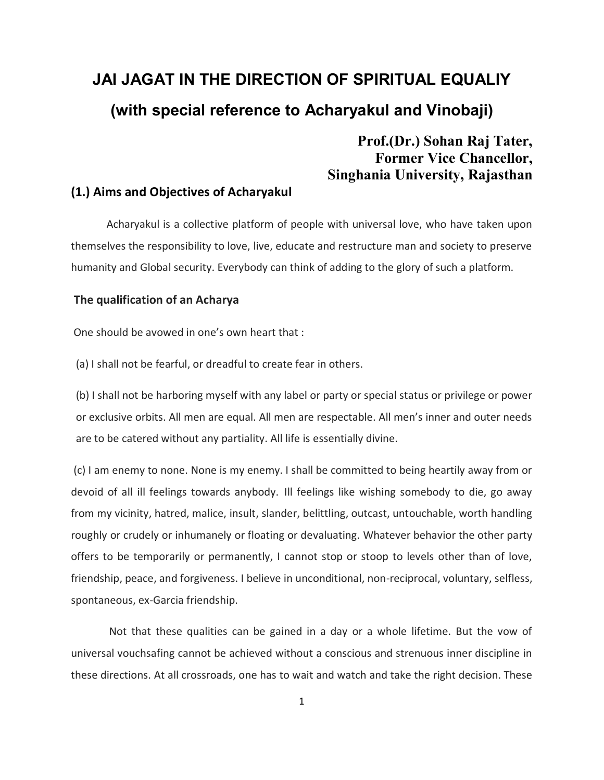# **JAI JAGAT IN THE DIRECTION OF SPIRITUAL EQUALIY (with special reference to Acharyakul and Vinobaji)**

# **Prof.(Dr.) Sohan Raj Tater, Former Vice Chancellor, Singhania University, Rajasthan**

#### **(1.) Aims and Objectives of Acharyakul**

 Acharyakul is a collective platform of people with universal love, who have taken upon themselves the responsibility to love, live, educate and restructure man and society to preserve humanity and Global security. Everybody can think of adding to the glory of such a platform.

#### **The qualification of an Acharya**

One should be avowed in one's own heart that :

(a) I shall not be fearful, or dreadful to create fear in others.

(b) I shall not be harboring myself with any label or party or special status or privilege or power or exclusive orbits. All men are equal. All men are respectable. All men's inner and outer needs are to be catered without any partiality. All life is essentially divine.

(c) I am enemy to none. None is my enemy. I shall be committed to being heartily away from or devoid of all ill feelings towards anybody. Ill feelings like wishing somebody to die, go away from my vicinity, hatred, malice, insult, slander, belittling, outcast, untouchable, worth handling roughly or crudely or inhumanely or floating or devaluating. Whatever behavior the other party offers to be temporarily or permanently, I cannot stop or stoop to levels other than of love, friendship, peace, and forgiveness. I believe in unconditional, non-reciprocal, voluntary, selfless, spontaneous, ex-Garcia friendship.

 Not that these qualities can be gained in a day or a whole lifetime. But the vow of universal vouchsafing cannot be achieved without a conscious and strenuous inner discipline in these directions. At all crossroads, one has to wait and watch and take the right decision. These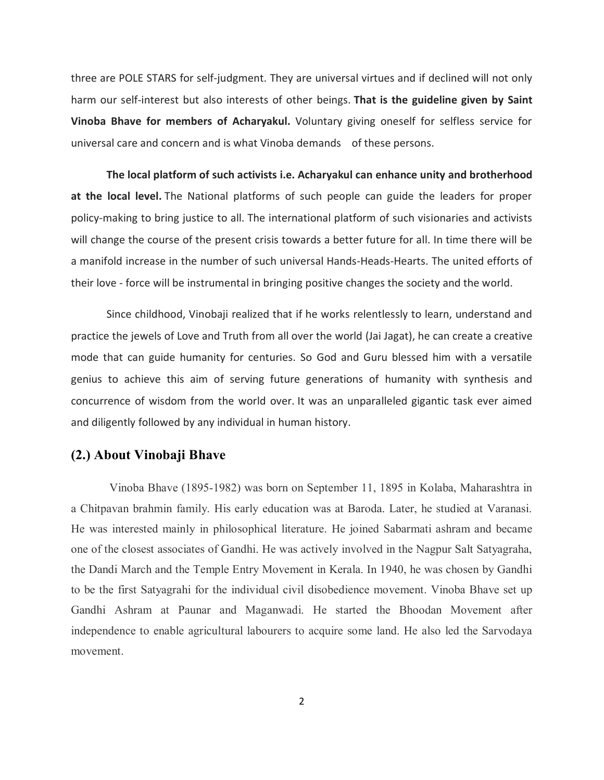three are POLE STARS for self-judgment. They are universal virtues and if declined will not only harm our self-interest but also interests of other beings. **That is the guideline given by Saint Vinoba Bhave for members of Acharyakul.** Voluntary giving oneself for selfless service for universal care and concern and is what Vinoba demands of these persons.

**The local platform of such activists i.e. Acharyakul can enhance unity and brotherhood at the local level.** The National platforms of such people can guide the leaders for proper policy-making to bring justice to all. The international platform of such visionaries and activists will change the course of the present crisis towards a better future for all. In time there will be a manifold increase in the number of such universal Hands-Heads-Hearts. The united efforts of their love - force will be instrumental in bringing positive changes the society and the world.

 Since childhood, Vinobaji realized that if he works relentlessly to learn, understand and practice the jewels of Love and Truth from all over the world (Jai Jagat), he can create a creative mode that can guide humanity for centuries. So God and Guru blessed him with a versatile genius to achieve this aim of serving future generations of humanity with synthesis and concurrence of wisdom from the world over. It was an unparalleled gigantic task ever aimed and diligently followed by any individual in human history.

### **(2.) About Vinobaji Bhave**

Vinoba Bhave (1895-1982) was born on September 11, 1895 in Kolaba, Maharashtra in a Chitpavan brahmin family. His early education was at Baroda. Later, he studied at Varanasi. He was interested mainly in philosophical literature. He joined Sabarmati ashram and became one of the closest associates of Gandhi. He was actively involved in the Nagpur Salt Satyagraha, the Dandi March and the Temple Entry Movement in Kerala. In 1940, he was chosen by Gandhi to be the first Satyagrahi for the individual civil disobedience movement. Vinoba Bhave set up Gandhi Ashram at Paunar and Maganwadi. He started the Bhoodan Movement after independence to enable agricultural labourers to acquire some land. He also led the Sarvodaya movement.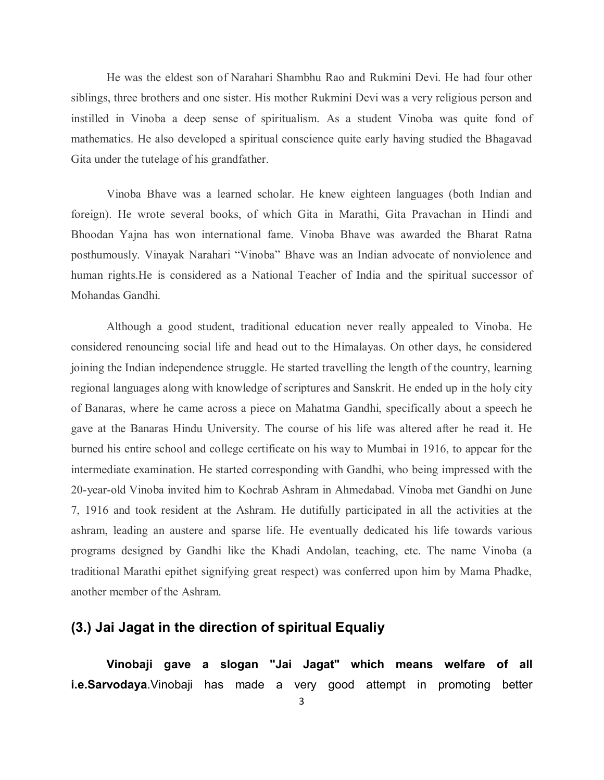He was the eldest son of Narahari Shambhu Rao and Rukmini Devi. He had four other siblings, three brothers and one sister. His mother Rukmini Devi was a very religious person and instilled in Vinoba a deep sense of spiritualism. As a student Vinoba was quite fond of mathematics. He also developed a spiritual conscience quite early having studied the Bhagavad Gita under the tutelage of his grandfather.

 Vinoba Bhave was a learned scholar. He knew eighteen languages (both Indian and foreign). He wrote several books, of which Gita in Marathi, Gita Pravachan in Hindi and Bhoodan Yajna has won international fame. Vinoba Bhave was awarded the Bharat Ratna posthumously. Vinayak Narahari "Vinoba" Bhave was an Indian advocate of nonviolence and human rights.He is considered as a National Teacher of India and the spiritual successor of Mohandas Gandhi.

 Although a good student, traditional education never really appealed to Vinoba. He considered renouncing social life and head out to the Himalayas. On other days, he considered joining the Indian independence struggle. He started travelling the length of the country, learning regional languages along with knowledge of scriptures and Sanskrit. He ended up in the holy city of Banaras, where he came across a piece on Mahatma Gandhi, specifically about a speech he gave at the Banaras Hindu University. The course of his life was altered after he read it. He burned his entire school and college certificate on his way to Mumbai in 1916, to appear for the intermediate examination. He started corresponding with Gandhi, who being impressed with the 20-year-old Vinoba invited him to Kochrab Ashram in Ahmedabad. Vinoba met Gandhi on June 7, 1916 and took resident at the Ashram. He dutifully participated in all the activities at the ashram, leading an austere and sparse life. He eventually dedicated his life towards various programs designed by Gandhi like the Khadi Andolan, teaching, etc. The name Vinoba (a traditional Marathi epithet signifying great respect) was conferred upon him by Mama Phadke, another member of the Ashram.

## **(3.) Jai Jagat in the direction of spiritual Equaliy**

**Vinobaji gave a slogan "Jai Jagat" which means welfare of all i.e.Sarvodaya**.Vinobaji has made a very good attempt in promoting better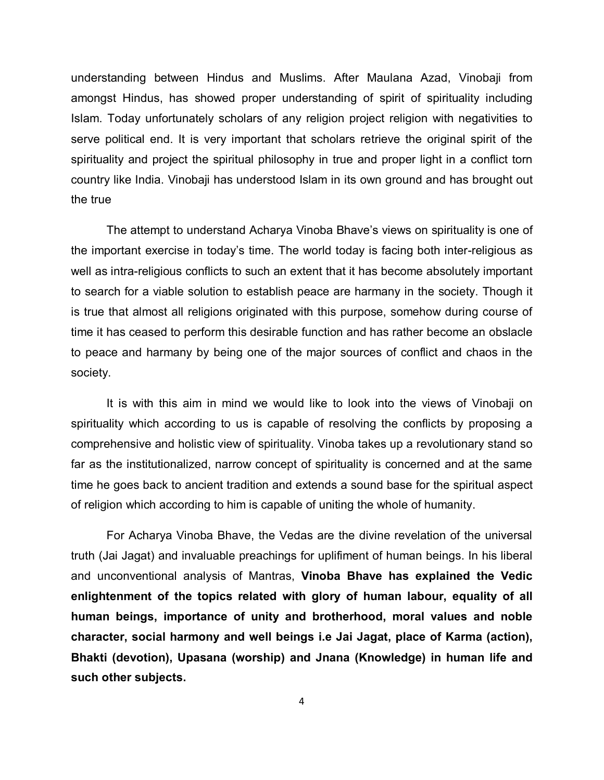understanding between Hindus and Muslims. After Maulana Azad, Vinobaji from amongst Hindus, has showed proper understanding of spirit of spirituality including Islam. Today unfortunately scholars of any religion project religion with negativities to serve political end. It is very important that scholars retrieve the original spirit of the spirituality and project the spiritual philosophy in true and proper light in a conflict torn country like India. Vinobaji has understood Islam in its own ground and has brought out the true

The attempt to understand Acharya Vinoba Bhave's views on spirituality is one of the important exercise in today's time. The world today is facing both inter-religious as well as intra-religious conflicts to such an extent that it has become absolutely important to search for a viable solution to establish peace are harmany in the society. Though it is true that almost all religions originated with this purpose, somehow during course of time it has ceased to perform this desirable function and has rather become an obslacle to peace and harmany by being one of the major sources of conflict and chaos in the society.

It is with this aim in mind we would like to look into the views of Vinobaji on spirituality which according to us is capable of resolving the conflicts by proposing a comprehensive and holistic view of spirituality. Vinoba takes up a revolutionary stand so far as the institutionalized, narrow concept of spirituality is concerned and at the same time he goes back to ancient tradition and extends a sound base for the spiritual aspect of religion which according to him is capable of uniting the whole of humanity.

For Acharya Vinoba Bhave, the Vedas are the divine revelation of the universal truth (Jai Jagat) and invaluable preachings for uplifiment of human beings. In his liberal and unconventional analysis of Mantras, **Vinoba Bhave has explained the Vedic enlightenment of the topics related with glory of human labour, equality of all human beings, importance of unity and brotherhood, moral values and noble character, social harmony and well beings i.e Jai Jagat, place of Karma (action), Bhakti (devotion), Upasana (worship) and Jnana (Knowledge) in human life and such other subjects.**

4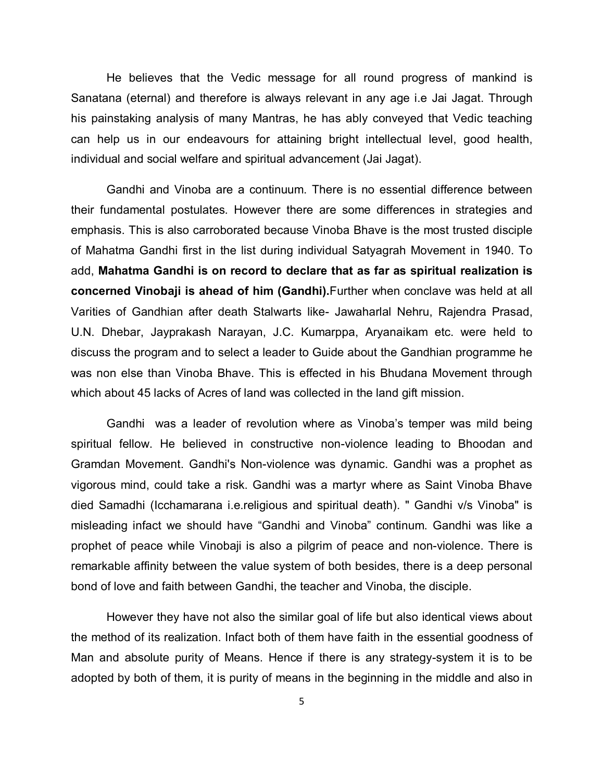He believes that the Vedic message for all round progress of mankind is Sanatana (eternal) and therefore is always relevant in any age i.e Jai Jagat. Through his painstaking analysis of many Mantras, he has ably conveyed that Vedic teaching can help us in our endeavours for attaining bright intellectual level, good health, individual and social welfare and spiritual advancement (Jai Jagat).

 Gandhi and Vinoba are a continuum. There is no essential difference between their fundamental postulates. However there are some differences in strategies and emphasis. This is also carroborated because Vinoba Bhave is the most trusted disciple of Mahatma Gandhi first in the list during individual Satyagrah Movement in 1940. To add, **Mahatma Gandhi is on record to declare that as far as spiritual realization is concerned Vinobaji is ahead of him (Gandhi).**Further when conclave was held at all Varities of Gandhian after death Stalwarts like- Jawaharlal Nehru, Rajendra Prasad, U.N. Dhebar, Jayprakash Narayan, J.C. Kumarppa, Aryanaikam etc. were held to discuss the program and to select a leader to Guide about the Gandhian programme he was non else than Vinoba Bhave. This is effected in his Bhudana Movement through which about 45 lacks of Acres of land was collected in the land gift mission.

Gandhi was a leader of revolution where as Vinoba's temper was mild being spiritual fellow. He believed in constructive non-violence leading to Bhoodan and Gramdan Movement. Gandhi's Non-violence was dynamic. Gandhi was a prophet as vigorous mind, could take a risk. Gandhi was a martyr where as Saint Vinoba Bhave died Samadhi (Icchamarana i.e.religious and spiritual death). " Gandhi v/s Vinoba" is misleading infact we should have "Gandhi and Vinoba" continum. Gandhi was like a prophet of peace while Vinobaji is also a pilgrim of peace and non-violence. There is remarkable affinity between the value system of both besides, there is a deep personal bond of love and faith between Gandhi, the teacher and Vinoba, the disciple.

However they have not also the similar goal of life but also identical views about the method of its realization. Infact both of them have faith in the essential goodness of Man and absolute purity of Means. Hence if there is any strategy-system it is to be adopted by both of them, it is purity of means in the beginning in the middle and also in